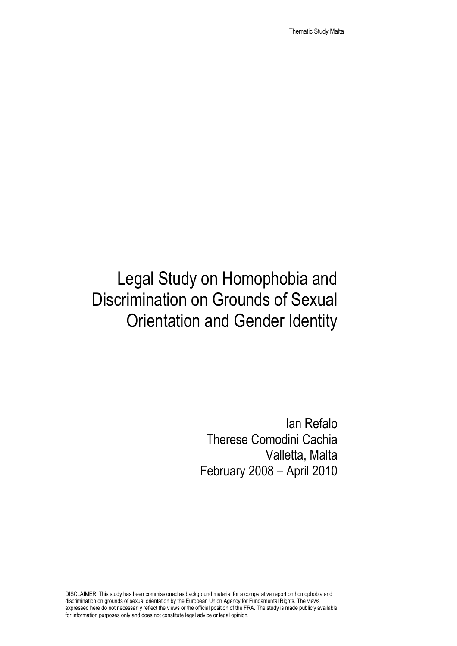Thematic Study Malta

# Legal Study on Homophobia and Discrimination on Grounds of Sexual Orientation and Gender Identity

Ian Refalo Therese Comodini Cachia Valletta, Malta February 2008 – April 2010

DISCLAIMER: This study has been commissioned as background material for a comparative report on homophobia and discrimination on grounds of sexual orientation by the European Union Agency for Fundamental Rights. The views expressed here do not necessarily reflect the views or the official position of the FRA. The study is made publicly available for information purposes only and does not constitute legal advice or legal opinion.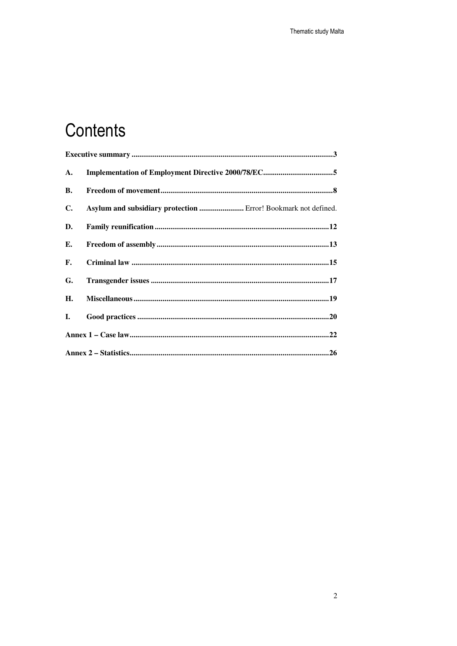# Contents

| <b>A.</b> |                                                                |  |
|-----------|----------------------------------------------------------------|--|
| <b>B.</b> |                                                                |  |
| C.        | Asylum and subsidiary protection  Error! Bookmark not defined. |  |
| D.        |                                                                |  |
| Е.        |                                                                |  |
| F.        |                                                                |  |
| G.        |                                                                |  |
| H.        |                                                                |  |
| L.        |                                                                |  |
|           |                                                                |  |
|           |                                                                |  |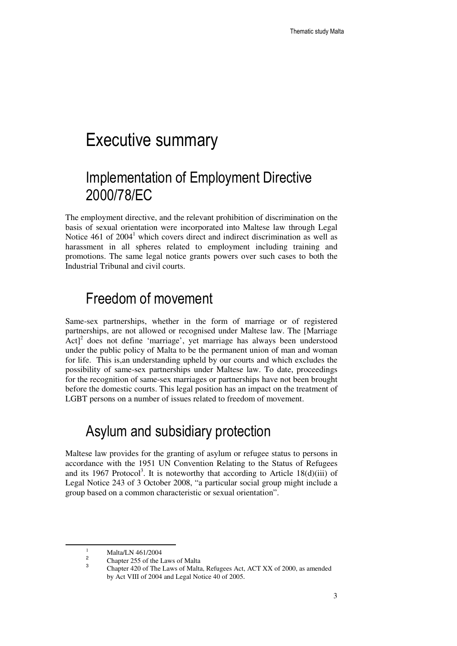## Executive summary

## Implementation of Employment Directive 2000/78/EC

The employment directive, and the relevant prohibition of discrimination on the basis of sexual orientation were incorporated into Maltese law through Legal Notice  $461$  of  $2004<sup>1</sup>$  which covers direct and indirect discrimination as well as harassment in all spheres related to employment including training and promotions. The same legal notice grants powers over such cases to both the Industrial Tribunal and civil courts.

### Freedom of movement

Same-sex partnerships, whether in the form of marriage or of registered partnerships, are not allowed or recognised under Maltese law. The [Marriage  $[Act]^2$  does not define 'marriage', yet marriage has always been understood under the public policy of Malta to be the permanent union of man and woman for life. This is,an understanding upheld by our courts and which excludes the possibility of same-sex partnerships under Maltese law. To date, proceedings for the recognition of same-sex marriages or partnerships have not been brought before the domestic courts. This legal position has an impact on the treatment of LGBT persons on a number of issues related to freedom of movement.

## Asylum and subsidiary protection

Maltese law provides for the granting of asylum or refugee status to persons in accordance with the 1951 UN Convention Relating to the Status of Refugees and its 1967 Protocol<sup>3</sup>. It is noteworthy that according to Article 18 $(d)(iii)$  of Legal Notice 243 of 3 October 2008, "a particular social group might include a group based on a common characteristic or sexual orientation".

<sup>1</sup> Malta/LN 461/2004 2

Chapter 255 of the Laws of Malta

<sup>3</sup> Chapter 420 of The Laws of Malta, Refugees Act, ACT XX of 2000, as amended by Act VIII of 2004 and Legal Notice 40 of 2005.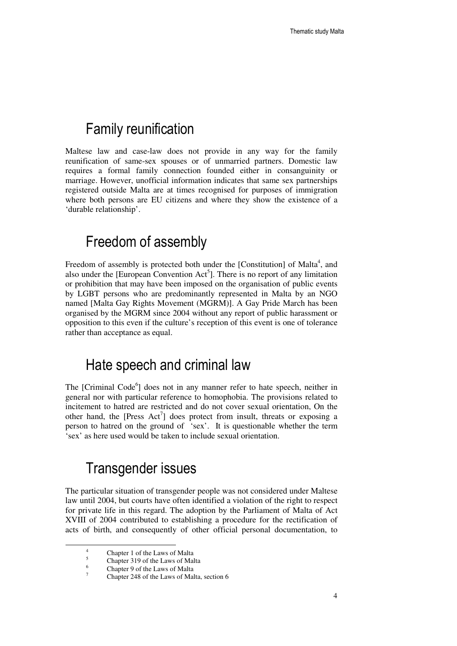### Family reunification

Maltese law and case-law does not provide in any way for the family reunification of same-sex spouses or of unmarried partners. Domestic law requires a formal family connection founded either in consanguinity or marriage. However, unofficial information indicates that same sex partnerships registered outside Malta are at times recognised for purposes of immigration where both persons are EU citizens and where they show the existence of a 'durable relationship'.

### Freedom of assembly

Freedom of assembly is protected both under the [Constitution] of Malta<sup>4</sup>, and also under the [European Convention  $Act^5$ ]. There is no report of any limitation or prohibition that may have been imposed on the organisation of public events by LGBT persons who are predominantly represented in Malta by an NGO named [Malta Gay Rights Movement (MGRM)]. A Gay Pride March has been organised by the MGRM since 2004 without any report of public harassment or opposition to this even if the culture's reception of this event is one of tolerance rather than acceptance as equal.

### Hate speech and criminal law

The [Criminal Code<sup>6</sup>] does not in any manner refer to hate speech, neither in general nor with particular reference to homophobia. The provisions related to incitement to hatred are restricted and do not cover sexual orientation, On the other hand, the [Press  $Act^7$ ] does protect from insult, threats or exposing a person to hatred on the ground of 'sex'. It is questionable whether the term 'sex' as here used would be taken to include sexual orientation.

## Transgender issues

The particular situation of transgender people was not considered under Maltese law until 2004, but courts have often identified a violation of the right to respect for private life in this regard. The adoption by the Parliament of Malta of Act XVIII of 2004 contributed to establishing a procedure for the rectification of acts of birth, and consequently of other official personal documentation, to

-

<sup>4</sup> Chapter 1 of the Laws of Malta 5

Chapter 319 of the Laws of Malta

<sup>6</sup> Chapter 9 of the Laws of Malta 7

Chapter 248 of the Laws of Malta, section 6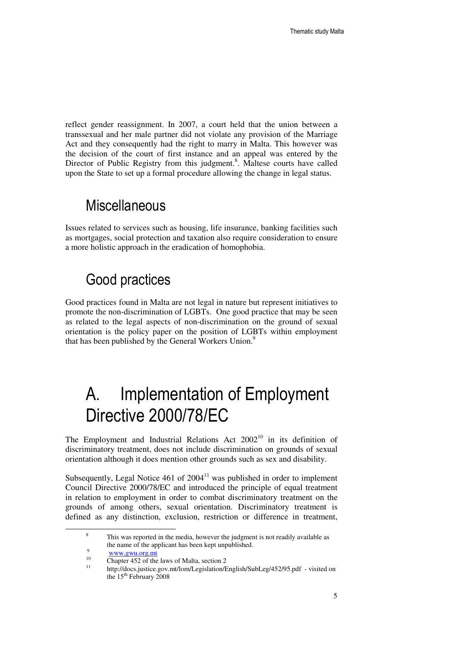reflect gender reassignment. In 2007, a court held that the union between a transsexual and her male partner did not violate any provision of the Marriage Act and they consequently had the right to marry in Malta. This however was the decision of the court of first instance and an appeal was entered by the Director of Public Registry from this judgment.<sup>8</sup>. Maltese courts have called upon the State to set up a formal procedure allowing the change in legal status.

### **Miscellaneous**

Issues related to services such as housing, life insurance, banking facilities such as mortgages, social protection and taxation also require consideration to ensure a more holistic approach in the eradication of homophobia.

## Good practices

Good practices found in Malta are not legal in nature but represent initiatives to promote the non-discrimination of LGBTs. One good practice that may be seen as related to the legal aspects of non-discrimination on the ground of sexual orientation is the policy paper on the position of LGBTs within employment that has been published by the General Workers Union.<sup>9</sup>

# A. Implementation of Employment Directive 2000/78/EC

The Employment and Industrial Relations Act  $2002<sup>10</sup>$  in its definition of discriminatory treatment, does not include discrimination on grounds of sexual orientation although it does mention other grounds such as sex and disability.

Subsequently, Legal Notice  $461$  of  $2004<sup>11</sup>$  was published in order to implement Council Directive 2000/78/EC and introduced the principle of equal treatment in relation to employment in order to combat discriminatory treatment on the grounds of among others, sexual orientation. Discriminatory treatment is defined as any distinction, exclusion, restriction or difference in treatment,

<sup>8</sup> This was reported in the media, however the judgment is not readily available as the name of the applicant has been kept unpublished.

 $\overline{Q}$  $\frac{www.gwu.org.mt}{10}$ 

<sup>&</sup>lt;sup>10</sup> Chapter 452 of the laws of Malta, section 2<sup>11</sup>

<sup>11</sup> http://docs.justice.gov.mt/lom/Legislation/English/SubLeg/452/95.pdf - visited on the 15<sup>th</sup> February 2008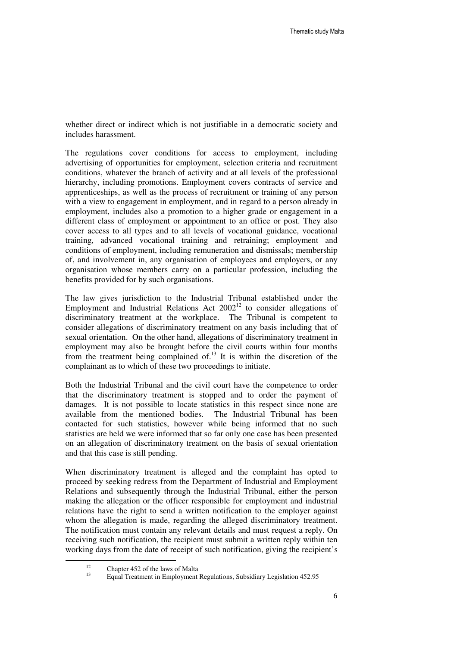whether direct or indirect which is not justifiable in a democratic society and includes harassment.

The regulations cover conditions for access to employment, including advertising of opportunities for employment, selection criteria and recruitment conditions, whatever the branch of activity and at all levels of the professional hierarchy, including promotions. Employment covers contracts of service and apprenticeships, as well as the process of recruitment or training of any person with a view to engagement in employment, and in regard to a person already in employment, includes also a promotion to a higher grade or engagement in a different class of employment or appointment to an office or post. They also cover access to all types and to all levels of vocational guidance, vocational training, advanced vocational training and retraining; employment and conditions of employment, including remuneration and dismissals; membership of, and involvement in, any organisation of employees and employers, or any organisation whose members carry on a particular profession, including the benefits provided for by such organisations.

The law gives jurisdiction to the Industrial Tribunal established under the Employment and Industrial Relations Act  $2002^{12}$  to consider allegations of discriminatory treatment at the workplace. The Tribunal is competent to consider allegations of discriminatory treatment on any basis including that of sexual orientation. On the other hand, allegations of discriminatory treatment in employment may also be brought before the civil courts within four months from the treatment being complained of.<sup>13</sup> It is within the discretion of the complainant as to which of these two proceedings to initiate.

Both the Industrial Tribunal and the civil court have the competence to order that the discriminatory treatment is stopped and to order the payment of damages. It is not possible to locate statistics in this respect since none are available from the mentioned bodies. The Industrial Tribunal has been contacted for such statistics, however while being informed that no such statistics are held we were informed that so far only one case has been presented on an allegation of discriminatory treatment on the basis of sexual orientation and that this case is still pending.

When discriminatory treatment is alleged and the complaint has opted to proceed by seeking redress from the Department of Industrial and Employment Relations and subsequently through the Industrial Tribunal, either the person making the allegation or the officer responsible for employment and industrial relations have the right to send a written notification to the employer against whom the allegation is made, regarding the alleged discriminatory treatment. The notification must contain any relevant details and must request a reply. On receiving such notification, the recipient must submit a written reply within ten working days from the date of receipt of such notification, giving the recipient's

<sup>&</sup>lt;sup>12</sup> Chapter 452 of the laws of Malta

<sup>13</sup> Equal Treatment in Employment Regulations, Subsidiary Legislation 452.95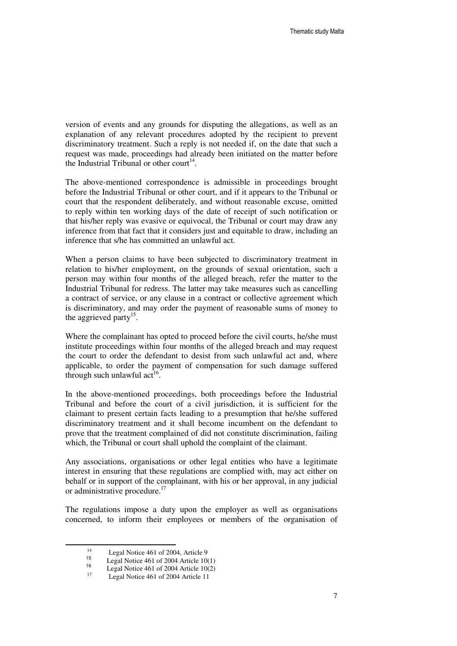version of events and any grounds for disputing the allegations, as well as an explanation of any relevant procedures adopted by the recipient to prevent discriminatory treatment. Such a reply is not needed if, on the date that such a request was made, proceedings had already been initiated on the matter before the Industrial Tribunal or other court<sup>14</sup>.

The above-mentioned correspondence is admissible in proceedings brought before the Industrial Tribunal or other court, and if it appears to the Tribunal or court that the respondent deliberately, and without reasonable excuse, omitted to reply within ten working days of the date of receipt of such notification or that his/her reply was evasive or equivocal, the Tribunal or court may draw any inference from that fact that it considers just and equitable to draw, including an inference that s/he has committed an unlawful act.

When a person claims to have been subjected to discriminatory treatment in relation to his/her employment, on the grounds of sexual orientation, such a person may within four months of the alleged breach, refer the matter to the Industrial Tribunal for redress. The latter may take measures such as cancelling a contract of service, or any clause in a contract or collective agreement which is discriminatory, and may order the payment of reasonable sums of money to the aggrieved party<sup>15</sup>.

Where the complainant has opted to proceed before the civil courts, he/she must institute proceedings within four months of the alleged breach and may request the court to order the defendant to desist from such unlawful act and, where applicable, to order the payment of compensation for such damage suffered through such unlawful act<sup>16</sup>.

In the above-mentioned proceedings, both proceedings before the Industrial Tribunal and before the court of a civil jurisdiction, it is sufficient for the claimant to present certain facts leading to a presumption that he/she suffered discriminatory treatment and it shall become incumbent on the defendant to prove that the treatment complained of did not constitute discrimination, failing which, the Tribunal or court shall uphold the complaint of the claimant.

Any associations, organisations or other legal entities who have a legitimate interest in ensuring that these regulations are complied with, may act either on behalf or in support of the complainant, with his or her approval, in any judicial or administrative procedure.<sup>17</sup>

The regulations impose a duty upon the employer as well as organisations concerned, to inform their employees or members of the organisation of

<sup>14</sup> Legal Notice 461 of 2004, Article 9 15

Legal Notice 461 of 2004 Article 10(1) 16

<sup>&</sup>lt;sup>16</sup> Legal Notice 461 of 2004 Article 10(2)

Legal Notice 461 of 2004 Article 11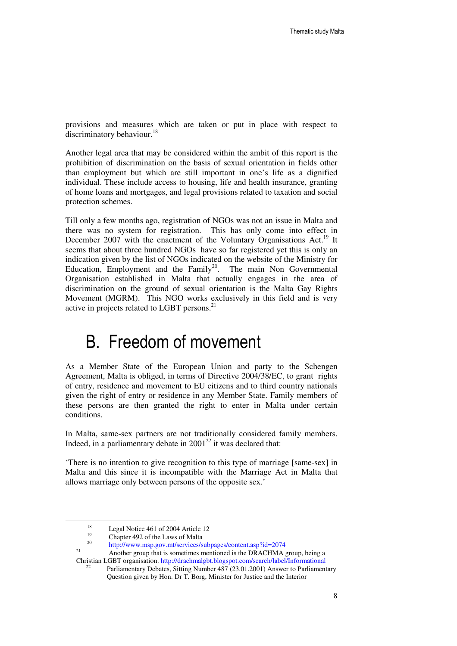provisions and measures which are taken or put in place with respect to discriminatory behaviour.<sup>18</sup>

Another legal area that may be considered within the ambit of this report is the prohibition of discrimination on the basis of sexual orientation in fields other than employment but which are still important in one's life as a dignified individual. These include access to housing, life and health insurance, granting of home loans and mortgages, and legal provisions related to taxation and social protection schemes.

Till only a few months ago, registration of NGOs was not an issue in Malta and there was no system for registration. This has only come into effect in December 2007 with the enactment of the Voluntary Organisations Act.<sup>19</sup> It seems that about three hundred NGOs have so far registered yet this is only an indication given by the list of NGOs indicated on the website of the Ministry for Education, Employment and the Family<sup>20</sup>. The main Non Governmental Organisation established in Malta that actually engages in the area of discrimination on the ground of sexual orientation is the Malta Gay Rights Movement (MGRM). This NGO works exclusively in this field and is very active in projects related to LGBT persons. $^{21}$ 

## B. Freedom of movement

As a Member State of the European Union and party to the Schengen Agreement, Malta is obliged, in terms of Directive 2004/38/EC, to grant rights of entry, residence and movement to EU citizens and to third country nationals given the right of entry or residence in any Member State. Family members of these persons are then granted the right to enter in Malta under certain conditions.

In Malta, same-sex partners are not traditionally considered family members. Indeed, in a parliamentary debate in  $2001^{22}$  it was declared that:

'There is no intention to give recognition to this type of marriage [same-sex] in Malta and this since it is incompatible with the Marriage Act in Malta that allows marriage only between persons of the opposite sex.'

<sup>&</sup>lt;sup>18</sup> Legal Notice 461 of 2004 Article 12

<sup>19</sup> Chapter 492 of the Laws of Malta

<sup>20</sup> http://www.msp.gov.mt/services/subpages/content.asp?id=2074

<sup>21</sup> Another group that is sometimes mentioned is the DRACHMA group, being a Christian LGBT organisation. http://drachmalgbt.blogspot.com/search/label/Informational

Parliamentary Debates, Sitting Number 487 (23.01.2001) Answer to Parliamentary Question given by Hon. Dr T. Borg, Minister for Justice and the Interior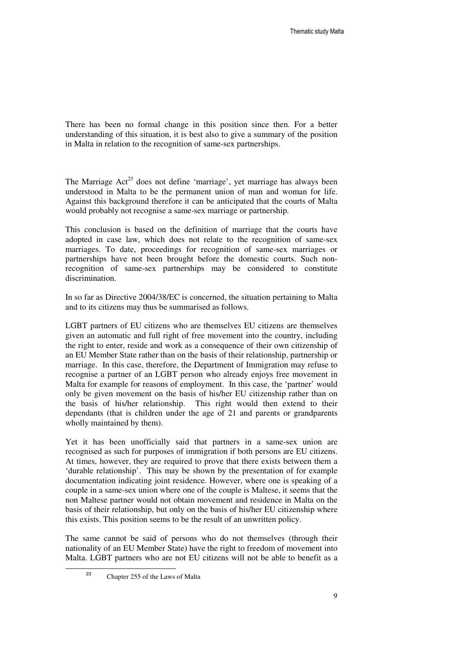There has been no formal change in this position since then. For a better understanding of this situation, it is best also to give a summary of the position in Malta in relation to the recognition of same-sex partnerships.

The Marriage  $Act^{23}$  does not define 'marriage', yet marriage has always been understood in Malta to be the permanent union of man and woman for life. Against this background therefore it can be anticipated that the courts of Malta would probably not recognise a same-sex marriage or partnership.

This conclusion is based on the definition of marriage that the courts have adopted in case law, which does not relate to the recognition of same-sex marriages. To date, proceedings for recognition of same-sex marriages or partnerships have not been brought before the domestic courts. Such nonrecognition of same-sex partnerships may be considered to constitute discrimination.

In so far as Directive 2004/38/EC is concerned, the situation pertaining to Malta and to its citizens may thus be summarised as follows.

LGBT partners of EU citizens who are themselves EU citizens are themselves given an automatic and full right of free movement into the country, including the right to enter, reside and work as a consequence of their own citizenship of an EU Member State rather than on the basis of their relationship, partnership or marriage. In this case, therefore, the Department of Immigration may refuse to recognise a partner of an LGBT person who already enjoys free movement in Malta for example for reasons of employment. In this case, the 'partner' would only be given movement on the basis of his/her EU citizenship rather than on the basis of his/her relationship. This right would then extend to their dependants (that is children under the age of 21 and parents or grandparents wholly maintained by them).

Yet it has been unofficially said that partners in a same-sex union are recognised as such for purposes of immigration if both persons are EU citizens. At times, however, they are required to prove that there exists between them a 'durable relationship'. This may be shown by the presentation of for example documentation indicating joint residence. However, where one is speaking of a couple in a same-sex union where one of the couple is Maltese, it seems that the non Maltese partner would not obtain movement and residence in Malta on the basis of their relationship, but only on the basis of his/her EU citizenship where this exists. This position seems to be the result of an unwritten policy.

The same cannot be said of persons who do not themselves (through their nationality of an EU Member State) have the right to freedom of movement into Malta. LGBT partners who are not EU citizens will not be able to benefit as a

 $\overline{a}$ 

23

Chapter 255 of the Laws of Malta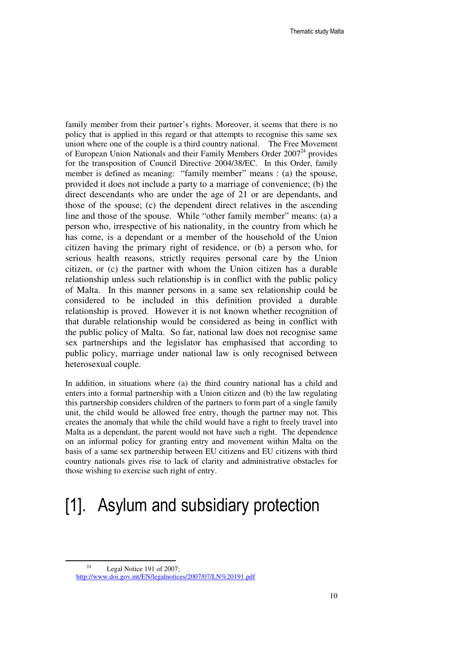family member from their partner's rights. Moreover, it seems that there is no policy that is applied in this regard or that attempts to recognise this same sex union where one of the couple is a third country national. The Free Movement of European Union Nationals and their Family Members Order  $2007<sup>24</sup>$  provides for the transposition of Council Directive 2004/38/EC. In this Order, family member is defined as meaning: "family member" means : (a) the spouse, provided it does not include a party to a marriage of convenience; (b) the direct descendants who are under the age of 21 or are dependants, and those of the spouse; (c) the dependent direct relatives in the ascending line and those of the spouse. While "other family member" means: (a) a person who, irrespective of his nationality, in the country from which he has come, is a dependant or a member of the household of the Union citizen having the primary right of residence, or (b) a person who, for serious health reasons, strictly requires personal care by the Union citizen, or (c) the partner with whom the Union citizen has a durable relationship unless such relationship is in conflict with the public policy of Malta. In this manner persons in a same sex relationship could be considered to be included in this definition provided a durable relationship is proved. However it is not known whether recognition of that durable relationship would be considered as being in conflict with the public policy of Malta. So far, national law does not recognise same sex partnerships and the legislator has emphasised that according to public policy, marriage under national law is only recognised between heterosexual couple.

In addition, in situations where (a) the third country national has a child and enters into a formal partnership with a Union citizen and (b) the law regulating this partnership considers children of the partners to form part of a single family unit, the child would be allowed free entry, though the partner may not. This creates the anomaly that while the child would have a right to freely travel into Malta as a dependant, the parent would not have such a right. The dependence on an informal policy for granting entry and movement within Malta on the basis of a same sex partnership between EU citizens and EU citizens with third country nationals gives rise to lack of clarity and administrative obstacles for those wishing to exercise such right of entry.

# [1]. Asylum and subsidiary protection

<sup>&</sup>lt;sup>24</sup> Legal Notice 191 of 2007; http://www.doi.gov.mt/EN/legalnotices/2007/07/LN%20191.pdf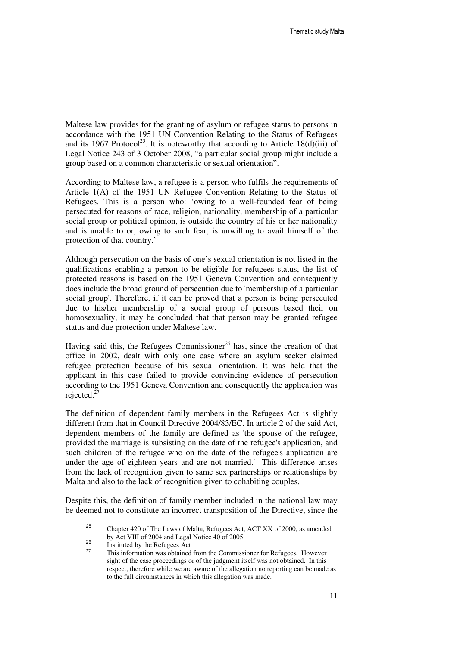Maltese law provides for the granting of asylum or refugee status to persons in accordance with the 1951 UN Convention Relating to the Status of Refugees and its 1967 Protocol<sup>25</sup>. It is noteworthy that according to Article 18(d)(iii) of Legal Notice 243 of 3 October 2008, "a particular social group might include a group based on a common characteristic or sexual orientation".

According to Maltese law, a refugee is a person who fulfils the requirements of Article 1(A) of the 1951 UN Refugee Convention Relating to the Status of Refugees. This is a person who: 'owing to a well-founded fear of being persecuted for reasons of race, religion, nationality, membership of a particular social group or political opinion, is outside the country of his or her nationality and is unable to or, owing to such fear, is unwilling to avail himself of the protection of that country.'

Although persecution on the basis of one's sexual orientation is not listed in the qualifications enabling a person to be eligible for refugees status, the list of protected reasons is based on the 1951 Geneva Convention and consequently does include the broad ground of persecution due to 'membership of a particular social group'. Therefore, if it can be proved that a person is being persecuted due to his/her membership of a social group of persons based their on homosexuality, it may be concluded that that person may be granted refugee status and due protection under Maltese law.

Having said this, the Refugees Commissioner<sup>26</sup> has, since the creation of that office in 2002, dealt with only one case where an asylum seeker claimed refugee protection because of his sexual orientation. It was held that the applicant in this case failed to provide convincing evidence of persecution according to the 1951 Geneva Convention and consequently the application was rejected. $^{2}$ 

The definition of dependent family members in the Refugees Act is slightly different from that in Council Directive 2004/83/EC. In article 2 of the said Act, dependent members of the family are defined as 'the spouse of the refugee, provided the marriage is subsisting on the date of the refugee's application, and such children of the refugee who on the date of the refugee's application are under the age of eighteen years and are not married.' This difference arises from the lack of recognition given to same sex partnerships or relationships by Malta and also to the lack of recognition given to cohabiting couples.

Despite this, the definition of family member included in the national law may be deemed not to constitute an incorrect transposition of the Directive, since the

<sup>25</sup> Chapter 420 of The Laws of Malta, Refugees Act, ACT XX of 2000, as amended by Act VIII of 2004 and Legal Notice 40 of 2005.

<sup>26</sup>  $^{26}$  Instituted by the Refugees Act

<sup>27</sup> This information was obtained from the Commissioner for Refugees. However sight of the case proceedings or of the judgment itself was not obtained. In this respect, therefore while we are aware of the allegation no reporting can be made as to the full circumstances in which this allegation was made.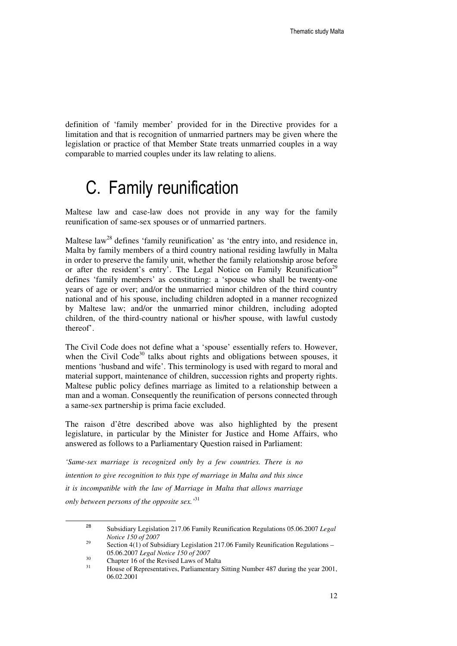definition of 'family member' provided for in the Directive provides for a limitation and that is recognition of unmarried partners may be given where the legislation or practice of that Member State treats unmarried couples in a way comparable to married couples under its law relating to aliens.

# C. Family reunification

Maltese law and case-law does not provide in any way for the family reunification of same-sex spouses or of unmarried partners.

Maltese law<sup>28</sup> defines 'family reunification' as 'the entry into, and residence in, Malta by family members of a third country national residing lawfully in Malta in order to preserve the family unit, whether the family relationship arose before or after the resident's entry'. The Legal Notice on Family Reunification<sup>29</sup> defines 'family members' as constituting: a 'spouse who shall be twenty-one years of age or over; and/or the unmarried minor children of the third country national and of his spouse, including children adopted in a manner recognized by Maltese law; and/or the unmarried minor children, including adopted children, of the third-country national or his/her spouse, with lawful custody thereof'.

The Civil Code does not define what a 'spouse' essentially refers to. However, when the Civil Code $30$  talks about rights and obligations between spouses, it mentions 'husband and wife'. This terminology is used with regard to moral and material support, maintenance of children, succession rights and property rights. Maltese public policy defines marriage as limited to a relationship between a man and a woman. Consequently the reunification of persons connected through a same-sex partnership is prima facie excluded.

The raison d'être described above was also highlighted by the present legislature, in particular by the Minister for Justice and Home Affairs, who answered as follows to a Parliamentary Question raised in Parliament:

*'Same-sex marriage is recognized only by a few countries. There is no intention to give recognition to this type of marriage in Malta and this since it is incompatible with the law of Marriage in Malta that allows marriage only between persons of the opposite sex.'*<sup>31</sup>

<sup>28</sup> Subsidiary Legislation 217.06 Family Reunification Regulations 05.06.2007 *Legal Notice 150 of 2007*<br><sup>29</sup> **Section** 4(1) of Sub

Section  $4(1)$  of Subsidiary Legislation 217.06 Family Reunification Regulations – 05.06.2007 *Legal Notice 150 of 2007*

 $^{30}$  Chapter 16 of the Revised Laws of Malta

<sup>31</sup> House of Representatives, Parliamentary Sitting Number 487 during the year 2001, 06.02.2001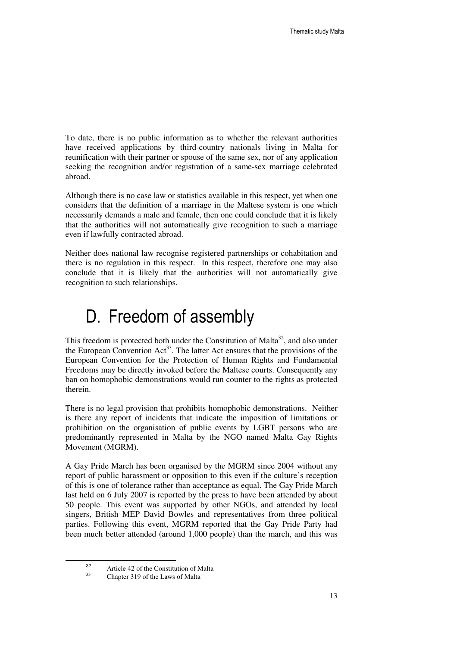To date, there is no public information as to whether the relevant authorities have received applications by third-country nationals living in Malta for reunification with their partner or spouse of the same sex, nor of any application seeking the recognition and/or registration of a same-sex marriage celebrated abroad.

Although there is no case law or statistics available in this respect, yet when one considers that the definition of a marriage in the Maltese system is one which necessarily demands a male and female, then one could conclude that it is likely that the authorities will not automatically give recognition to such a marriage even if lawfully contracted abroad.

Neither does national law recognise registered partnerships or cohabitation and there is no regulation in this respect. In this respect, therefore one may also conclude that it is likely that the authorities will not automatically give recognition to such relationships.

# D. Freedom of assembly

This freedom is protected both under the Constitution of Malta<sup>32</sup>, and also under the European Convention  $Act^{33}$ . The latter Act ensures that the provisions of the European Convention for the Protection of Human Rights and Fundamental Freedoms may be directly invoked before the Maltese courts. Consequently any ban on homophobic demonstrations would run counter to the rights as protected therein.

There is no legal provision that prohibits homophobic demonstrations. Neither is there any report of incidents that indicate the imposition of limitations or prohibition on the organisation of public events by LGBT persons who are predominantly represented in Malta by the NGO named Malta Gay Rights Movement (MGRM).

A Gay Pride March has been organised by the MGRM since 2004 without any report of public harassment or opposition to this even if the culture's reception of this is one of tolerance rather than acceptance as equal. The Gay Pride March last held on 6 July 2007 is reported by the press to have been attended by about 50 people. This event was supported by other NGOs, and attended by local singers, British MEP David Bowles and representatives from three political parties. Following this event, MGRM reported that the Gay Pride Party had been much better attended (around 1,000 people) than the march, and this was

<sup>32</sup>  $\frac{32}{13}$  Article 42 of the Constitution of Malta

<sup>33</sup> Chapter 319 of the Laws of Malta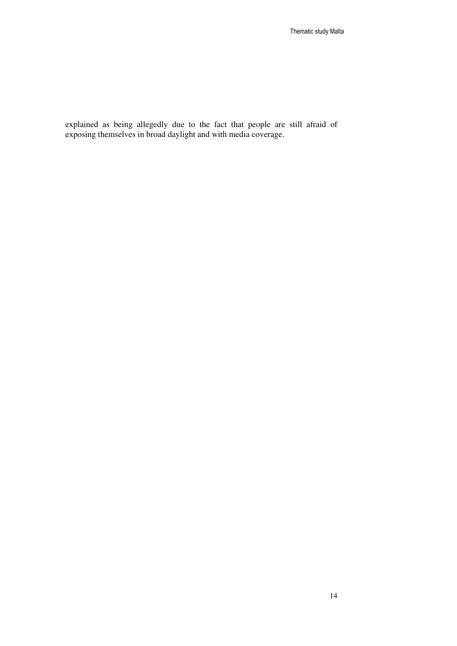explained as being allegedly due to the fact that people are still afraid of exposing themselves in broad daylight and with media coverage.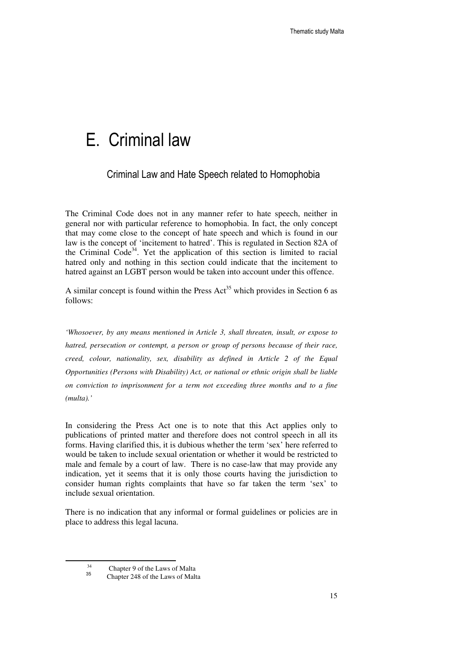## E. Criminal law

### Criminal Law and Hate Speech related to Homophobia

The Criminal Code does not in any manner refer to hate speech, neither in general nor with particular reference to homophobia. In fact, the only concept that may come close to the concept of hate speech and which is found in our law is the concept of 'incitement to hatred'. This is regulated in Section 82A of the Criminal  $Code<sup>34</sup>$ . Yet the application of this section is limited to racial hatred only and nothing in this section could indicate that the incitement to hatred against an LGBT person would be taken into account under this offence.

A similar concept is found within the Press Act<sup>35</sup> which provides in Section 6 as follows:

*'Whosoever, by any means mentioned in Article 3, shall threaten, insult, or expose to hatred, persecution or contempt, a person or group of persons because of their race, creed, colour, nationality, sex, disability as defined in Article 2 of the Equal Opportunities (Persons with Disability) Act, or national or ethnic origin shall be liable on conviction to imprisonment for a term not exceeding three months and to a fine (multa).'* 

In considering the Press Act one is to note that this Act applies only to publications of printed matter and therefore does not control speech in all its forms. Having clarified this, it is dubious whether the term 'sex' here referred to would be taken to include sexual orientation or whether it would be restricted to male and female by a court of law. There is no case-law that may provide any indication, yet it seems that it is only those courts having the jurisdiction to consider human rights complaints that have so far taken the term 'sex' to include sexual orientation.

There is no indication that any informal or formal guidelines or policies are in place to address this legal lacuna.

<sup>34</sup> Chapter 9 of the Laws of Malta 35

Chapter 248 of the Laws of Malta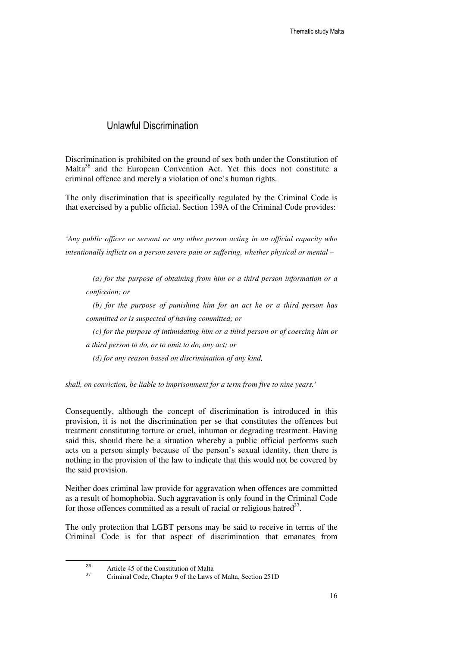### Unlawful Discrimination

Discrimination is prohibited on the ground of sex both under the Constitution of Malta<sup>36</sup> and the European Convention Act. Yet this does not constitute a criminal offence and merely a violation of one's human rights.

The only discrimination that is specifically regulated by the Criminal Code is that exercised by a public official. Section 139A of the Criminal Code provides:

*'Any public officer or servant or any other person acting in an official capacity who intentionally inflicts on a person severe pain or suffering, whether physical or mental –* 

*(a) for the purpose of obtaining from him or a third person information or a confession; or* 

*(b) for the purpose of punishing him for an act he or a third person has committed or is suspected of having committed; or* 

*(c) for the purpose of intimidating him or a third person or of coercing him or a third person to do, or to omit to do, any act; or*

*(d) for any reason based on discrimination of any kind,* 

*shall, on conviction, be liable to imprisonment for a term from five to nine years.'* 

Consequently, although the concept of discrimination is introduced in this provision, it is not the discrimination per se that constitutes the offences but treatment constituting torture or cruel, inhuman or degrading treatment. Having said this, should there be a situation whereby a public official performs such acts on a person simply because of the person's sexual identity, then there is nothing in the provision of the law to indicate that this would not be covered by the said provision.

Neither does criminal law provide for aggravation when offences are committed as a result of homophobia. Such aggravation is only found in the Criminal Code for those offences committed as a result of racial or religious hatred $3^7$ .

The only protection that LGBT persons may be said to receive in terms of the Criminal Code is for that aspect of discrimination that emanates from

<sup>36</sup>  $\frac{36}{17}$  Article 45 of the Constitution of Malta

Criminal Code, Chapter 9 of the Laws of Malta, Section 251D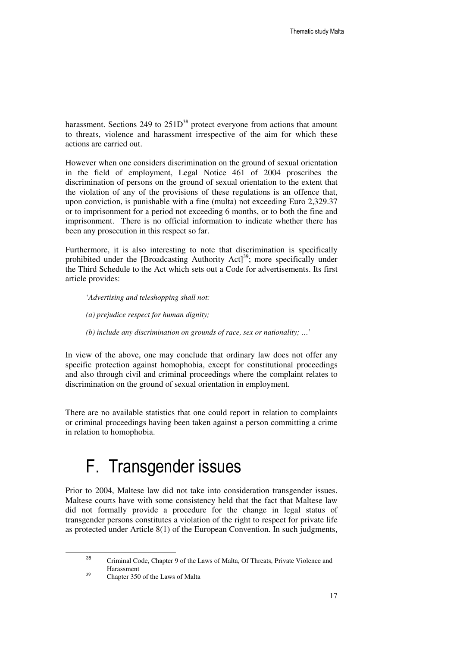harassment. Sections 249 to  $251D^{38}$  protect everyone from actions that amount to threats, violence and harassment irrespective of the aim for which these actions are carried out.

However when one considers discrimination on the ground of sexual orientation in the field of employment, Legal Notice 461 of 2004 proscribes the discrimination of persons on the ground of sexual orientation to the extent that the violation of any of the provisions of these regulations is an offence that, upon conviction, is punishable with a fine (multa) not exceeding Euro 2,329.37 or to imprisonment for a period not exceeding 6 months, or to both the fine and imprisonment. There is no official information to indicate whether there has been any prosecution in this respect so far.

Furthermore, it is also interesting to note that discrimination is specifically prohibited under the [Broadcasting Authority Act]<sup>39</sup>; more specifically under the Third Schedule to the Act which sets out a Code for advertisements. Its first article provides:

'*Advertising and teleshopping shall not:* 

- *(a) prejudice respect for human dignity;*
- *(b) include any discrimination on grounds of race, sex or nationality; …*'

In view of the above, one may conclude that ordinary law does not offer any specific protection against homophobia, except for constitutional proceedings and also through civil and criminal proceedings where the complaint relates to discrimination on the ground of sexual orientation in employment.

There are no available statistics that one could report in relation to complaints or criminal proceedings having been taken against a person committing a crime in relation to homophobia.

# F. Transgender issues

Prior to 2004, Maltese law did not take into consideration transgender issues. Maltese courts have with some consistency held that the fact that Maltese law did not formally provide a procedure for the change in legal status of transgender persons constitutes a violation of the right to respect for private life as protected under Article 8(1) of the European Convention. In such judgments,

38 Criminal Code, Chapter 9 of the Laws of Malta, Of Threats, Private Violence and  $\frac{139}{250}$  Harassment

<sup>39</sup> Chapter 350 of the Laws of Malta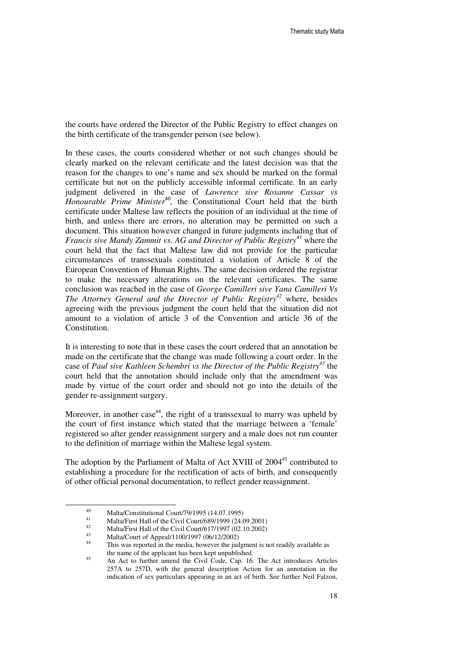the courts have ordered the Director of the Public Registry to effect changes on the birth certificate of the transgender person (see below).

In these cases, the courts considered whether or not such changes should be clearly marked on the relevant certificate and the latest decision was that the reason for the changes to one's name and sex should be marked on the formal certificate but not on the publicly accessible informal certificate. In an early judgment delivered in the case of *Lawrence sive Roxanne Cassar vs Honourable Prime Minister*<sup>40</sup>, the Constitutional Court held that the birth certificate under Maltese law reflects the position of an individual at the time of birth, and unless there are errors, no alteration may be permitted on such a document. This situation however changed in future judgments including that of *Francis sive Mandy Zammit vs. AG and Director of Public Registry*<sup>41</sup> where the court held that the fact that Maltese law did not provide for the particular circumstances of transsexuals constituted a violation of Article 8 of the European Convention of Human Rights. The same decision ordered the registrar to make the necessary alterations on the relevant certificates. The same conclusion was reached in the case of *George Camilleri sive Yana Camilleri Vs The Attorney General and the Director of Public Registry<sup>42</sup>* where, besides agreeing with the previous judgment the court held that the situation did not amount to a violation of article 3 of the Convention and article 36 of the Constitution.

It is interesting to note that in these cases the court ordered that an annotation be made on the certificate that the change was made following a court order. In the case of *Paul sive Kathleen Schembri vs the Director of the Public Registry<sup>43</sup>* the court held that the annotation should include only that the amendment was made by virtue of the court order and should not go into the details of the gender re-assignment surgery.

Moreover, in another case<sup>44</sup>, the right of a transsexual to marry was upheld by the court of first instance which stated that the marriage between a 'female' registered so after gender reassignment surgery and a male does not run counter to the definition of marriage within the Maltese legal system.

The adoption by the Parliament of Malta of Act XVIII of 2004<sup>45</sup> contributed to establishing a procedure for the rectification of acts of birth, and consequently of other official personal documentation, to reflect gender reassignment.

 $\ddot{\phantom{a}}$ 

<sup>40</sup> Malta/Constitutional Court/79/1995 (14.07.1995)

<sup>41</sup> Malta/First Hall of the Civil Court/689/1999 (24.09.2001)

 $^{42}$  Malta/First Hall of the Civil Court/617/1997 (02.10.2002)

<sup>43</sup> Malta/Court of Appeal/1100/1997 (06/12/2002)

This was reported in the media, however the judgment is not readily available as the name of the applicant has been kept unpublished.

An Act to further amend the Civil Code, Cap. 16. The Act introduces Articles 257A to 257D, with the general description Action for an annotation in the indication of sex particulars appearing in an act of birth. See further Neil Falzon,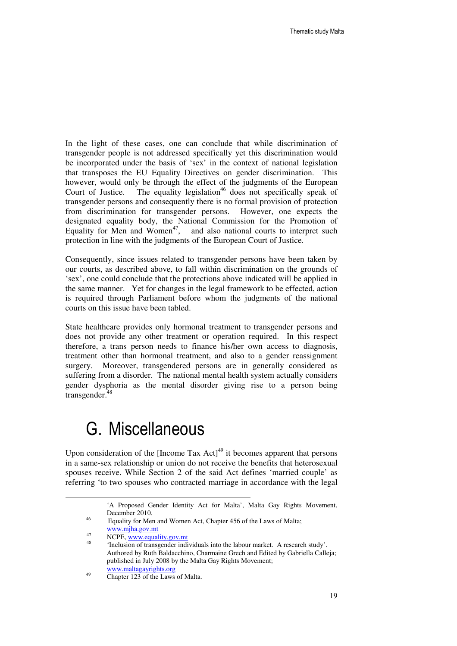In the light of these cases, one can conclude that while discrimination of transgender people is not addressed specifically yet this discrimination would be incorporated under the basis of 'sex' in the context of national legislation that transposes the EU Equality Directives on gender discrimination. This however, would only be through the effect of the judgments of the European Court of Justice. The equality legislation<sup>46</sup> does not specifically speak of transgender persons and consequently there is no formal provision of protection from discrimination for transgender persons. However, one expects the designated equality body, the National Commission for the Promotion of Equality for Men and Women<sup>47</sup>, and also national courts to interpret such protection in line with the judgments of the European Court of Justice.

Consequently, since issues related to transgender persons have been taken by our courts, as described above, to fall within discrimination on the grounds of 'sex', one could conclude that the protections above indicated will be applied in the same manner. Yet for changes in the legal framework to be effected, action is required through Parliament before whom the judgments of the national courts on this issue have been tabled.

State healthcare provides only hormonal treatment to transgender persons and does not provide any other treatment or operation required. In this respect therefore, a trans person needs to finance his/her own access to diagnosis, treatment other than hormonal treatment, and also to a gender reassignment surgery. Moreover, transgendered persons are in generally considered as suffering from a disorder. The national mental health system actually considers gender dysphoria as the mental disorder giving rise to a person being transgender.<sup>48</sup>

## G. Miscellaneous

Upon consideration of the [Income Tax  $Act$ ]<sup>49</sup> it becomes apparent that persons in a same-sex relationship or union do not receive the benefits that heterosexual spouses receive. While Section 2 of the said Act defines 'married couple' as referring 'to two spouses who contracted marriage in accordance with the legal

<u>.</u>

<sup>&#</sup>x27;A Proposed Gender Identity Act for Malta', Malta Gay Rights Movement, December 2010.

<sup>&</sup>lt;sup>46</sup> Equality for Men and Women Act, Chapter 456 of the Laws of Malta;

www.mjha.gov.mt

 $\frac{47}{100}$  NCPE, www.equality.gov.mt

<sup>48</sup> 'Inclusion of transgender individuals into the labour market. A research study'. Authored by Ruth Baldacchino, Charmaine Grech and Edited by Gabriella Calleja; published in July 2008 by the Malta Gay Rights Movement; www.maltagayrights.org

<sup>&</sup>lt;sup>49</sup> Chapter 123 of the Laws of Malta.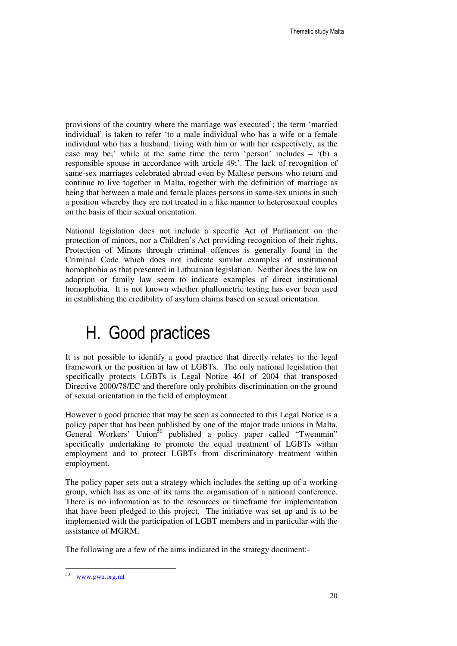provisions of the country where the marriage was executed'; the term 'married individual' is taken to refer 'to a male individual who has a wife or a female individual who has a husband, living with him or with her respectively, as the case may be;' while at the same time the term 'person' includes  $-$  '(b) a responsible spouse in accordance with article 49;'. The lack of recognition of same-sex marriages celebrated abroad even by Maltese persons who return and continue to live together in Malta, together with the definition of marriage as being that between a male and female places persons in same-sex unions in such a position whereby they are not treated in a like manner to heterosexual couples on the basis of their sexual orientation.

National legislation does not include a specific Act of Parliament on the protection of minors, nor a Children's Act providing recognition of their rights. Protection of Minors through criminal offences is generally found in the Criminal Code which does not indicate similar examples of institutional homophobia as that presented in Lithuanian legislation. Neither does the law on adoption or family law seem to indicate examples of direct institutional homophobia. It is not known whether phallometric testing has ever been used in establishing the credibility of asylum claims based on sexual orientation.

# H. Good practices

It is not possible to identify a good practice that directly relates to the legal framework or the position at law of LGBTs. The only national legislation that specifically protects LGBTs is Legal Notice 461 of 2004 that transposed Directive 2000/78/EC and therefore only prohibits discrimination on the ground of sexual orientation in the field of employment.

However a good practice that may be seen as connected to this Legal Notice is a policy paper that has been published by one of the major trade unions in Malta. General Workers' Union<sup>50</sup> published a policy paper called "Twemmin" specifically undertaking to promote the equal treatment of LGBTs within employment and to protect LGBTs from discriminatory treatment within employment.

The policy paper sets out a strategy which includes the setting up of a working group, which has as one of its aims the organisation of a national conference. There is no information as to the resources or timeframe for implementation that have been pledged to this project. The initiative was set up and is to be implemented with the participation of LGBT members and in particular with the assistance of MGRM.

The following are a few of the aims indicated in the strategy document:-

 50 www.gwu.org.mt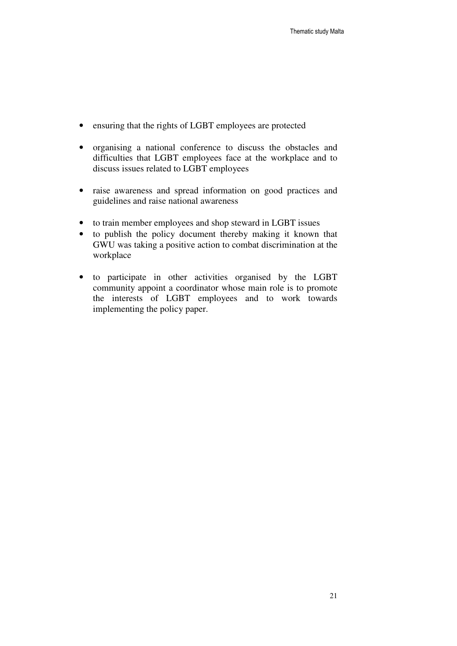- ensuring that the rights of LGBT employees are protected
- organising a national conference to discuss the obstacles and difficulties that LGBT employees face at the workplace and to discuss issues related to LGBT employees
- raise awareness and spread information on good practices and guidelines and raise national awareness
- to train member employees and shop steward in LGBT issues
- to publish the policy document thereby making it known that GWU was taking a positive action to combat discrimination at the workplace
- to participate in other activities organised by the LGBT community appoint a coordinator whose main role is to promote the interests of LGBT employees and to work towards implementing the policy paper.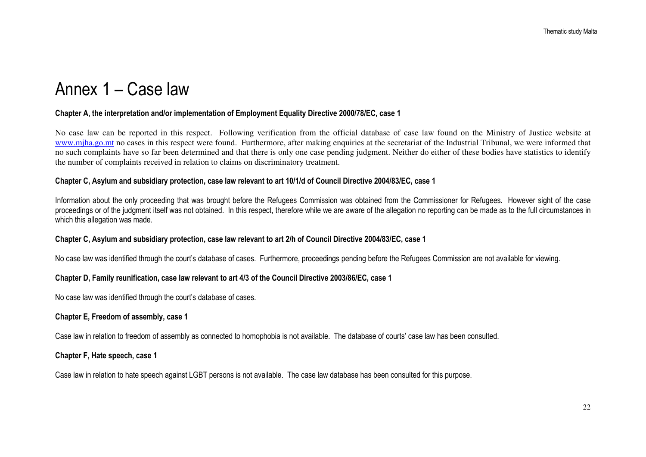# Annex 1 – Case law

### Chapter A, the interpretation and/or implementation of Employment Equality Directive 2000/78/EC, case 1

No case law can be reported in this respect. Following verification from the official database of case law found on the Ministry of Justice website at www.mjha.go.mt no cases in this respect were found. Furthermore, after making enquiries at the secretariat of the Industrial Tribunal, we were informed that no such complaints have so far been determined and that there is only one case pending judgment. Neither do either of these bodies have statistics to identify the number of complaints received in relation to claims on discriminatory treatment.

### Chapter C, Asylum and subsidiary protection, case law relevant to art 10/1/d of Council Directive 2004/83/EC, case 1

Information about the only proceeding that was brought before the Refugees Commission was obtained from the Commissioner for Refugees. However sight of the case proceedings or of the judgment itself was not obtained. In this respect, therefore while we are aware of the allegation no reporting can be made as to the full circumstances in which this allegation was made.

### Chapter C, Asylum and subsidiary protection, case law relevant to art 2/h of Council Directive 2004/83/EC, case 1

No case law was identified through the court's database of cases. Furthermore, proceedings pending before the Refugees Commission are not available for viewing.

### Chapter D, Family reunification, case law relevant to art 4/3 of the Council Directive 2003/86/EC, case 1

No case law was identified through the court's database of cases.

### Chapter E, Freedom of assembly, case 1

Case law in relation to freedom of assembly as connected to homophobia is not available. The database of courts' case law has been consulted.

#### Chapter F, Hate speech, case 1

Case law in relation to hate speech against LGBT persons is not available. The case law database has been consulted for this purpose.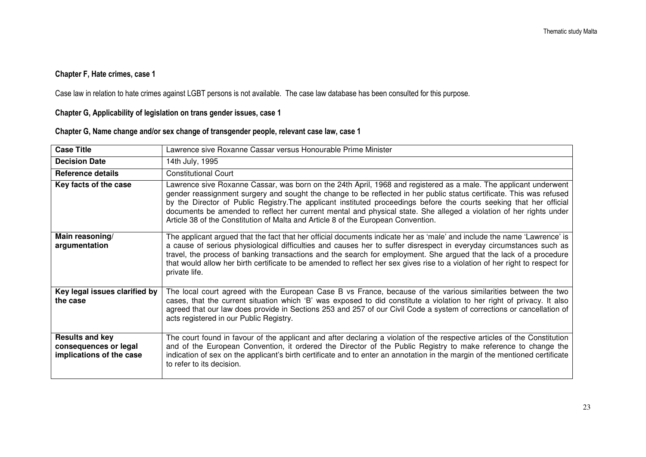### Chapter F, Hate crimes, case 1

Case law in relation to hate crimes against LGBT persons is not available. The case law database has been consulted for this purpose.

Chapter G, Applicability of legislation on trans gender issues, case 1

### Chapter G, Name change and/or sex change of transgender people, relevant case law, case 1

| <b>Case Title</b>                                                           | Lawrence sive Roxanne Cassar versus Honourable Prime Minister                                                                                                                                                                                                                                                                                                                                                                                                                                                                                                               |
|-----------------------------------------------------------------------------|-----------------------------------------------------------------------------------------------------------------------------------------------------------------------------------------------------------------------------------------------------------------------------------------------------------------------------------------------------------------------------------------------------------------------------------------------------------------------------------------------------------------------------------------------------------------------------|
| <b>Decision Date</b>                                                        | 14th July, 1995                                                                                                                                                                                                                                                                                                                                                                                                                                                                                                                                                             |
| <b>Reference details</b>                                                    | <b>Constitutional Court</b>                                                                                                                                                                                                                                                                                                                                                                                                                                                                                                                                                 |
| Key facts of the case                                                       | Lawrence sive Roxanne Cassar, was born on the 24th April, 1968 and registered as a male. The applicant underwent<br>gender reassignment surgery and sought the change to be reflected in her public status certificate. This was refused<br>by the Director of Public Registry. The applicant instituted proceedings before the courts seeking that her official<br>documents be amended to reflect her current mental and physical state. She alleged a violation of her rights under<br>Article 38 of the Constitution of Malta and Article 8 of the European Convention. |
| Main reasoning/<br>argumentation                                            | The applicant argued that the fact that her official documents indicate her as 'male' and include the name 'Lawrence' is<br>a cause of serious physiological difficulties and causes her to suffer disrespect in everyday circumstances such as<br>travel, the process of banking transactions and the search for employment. She argued that the lack of a procedure<br>that would allow her birth certificate to be amended to reflect her sex gives rise to a violation of her right to respect for<br>private life.                                                     |
| Key legal issues clarified by<br>the case                                   | The local court agreed with the European Case B vs France, because of the various similarities between the two<br>cases, that the current situation which 'B' was exposed to did constitute a violation to her right of privacy. It also<br>agreed that our law does provide in Sections 253 and 257 of our Civil Code a system of corrections or cancellation of<br>acts registered in our Public Registry.                                                                                                                                                                |
| <b>Results and key</b><br>consequences or legal<br>implications of the case | The court found in favour of the applicant and after declaring a violation of the respective articles of the Constitution<br>and of the European Convention, it ordered the Director of the Public Registry to make reference to change the<br>indication of sex on the applicant's birth certificate and to enter an annotation in the margin of the mentioned certificate<br>to refer to its decision.                                                                                                                                                                    |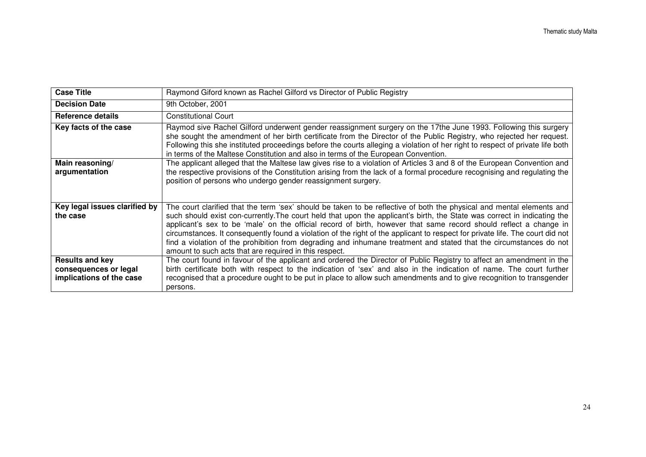| <b>Case Title</b>                                                           | Raymond Giford known as Rachel Gilford vs Director of Public Registry                                                                                                                                                                                                                                                                                                                                                                                                                                                                                                                                                                                                                   |
|-----------------------------------------------------------------------------|-----------------------------------------------------------------------------------------------------------------------------------------------------------------------------------------------------------------------------------------------------------------------------------------------------------------------------------------------------------------------------------------------------------------------------------------------------------------------------------------------------------------------------------------------------------------------------------------------------------------------------------------------------------------------------------------|
| <b>Decision Date</b>                                                        | 9th October, 2001                                                                                                                                                                                                                                                                                                                                                                                                                                                                                                                                                                                                                                                                       |
| Reference details                                                           | <b>Constitutional Court</b>                                                                                                                                                                                                                                                                                                                                                                                                                                                                                                                                                                                                                                                             |
| Key facts of the case                                                       | Raymod sive Rachel Gilford underwent gender reassignment surgery on the 17the June 1993. Following this surgery<br>she sought the amendment of her birth certificate from the Director of the Public Registry, who rejected her request.<br>Following this she instituted proceedings before the courts alleging a violation of her right to respect of private life both<br>in terms of the Maltese Constitution and also in terms of the European Convention.                                                                                                                                                                                                                         |
| Main reasoning/<br>argumentation                                            | The applicant alleged that the Maltese law gives rise to a violation of Articles 3 and 8 of the European Convention and<br>the respective provisions of the Constitution arising from the lack of a formal procedure recognising and regulating the<br>position of persons who undergo gender reassignment surgery.                                                                                                                                                                                                                                                                                                                                                                     |
| Key legal issues clarified by<br>the case                                   | The court clarified that the term 'sex' should be taken to be reflective of both the physical and mental elements and<br>such should exist con-currently. The court held that upon the applicant's birth, the State was correct in indicating the<br>applicant's sex to be 'male' on the official record of birth, however that same record should reflect a change in<br>circumstances. It consequently found a violation of the right of the applicant to respect for private life. The court did not<br>find a violation of the prohibition from degrading and inhumane treatment and stated that the circumstances do not<br>amount to such acts that are required in this respect. |
| <b>Results and key</b><br>consequences or legal<br>implications of the case | The court found in favour of the applicant and ordered the Director of Public Registry to affect an amendment in the<br>birth certificate both with respect to the indication of 'sex' and also in the indication of name. The court further<br>recognised that a procedure ought to be put in place to allow such amendments and to give recognition to transgender<br>persons.                                                                                                                                                                                                                                                                                                        |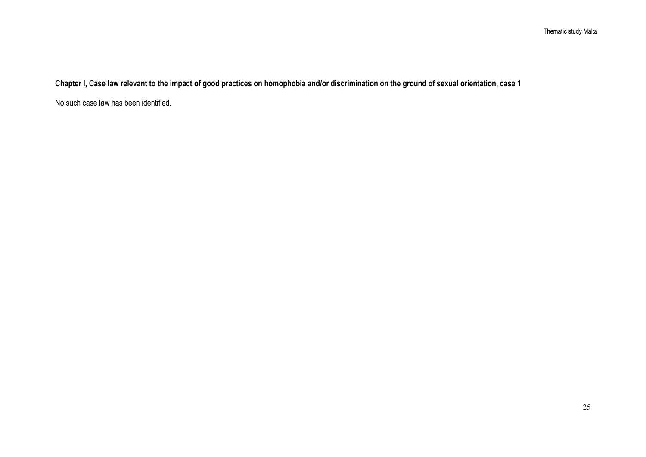Chapter I, Case law relevant to the impact of good practices on homophobia and/or discrimination on the ground of sexual orientation, case 1

No such case law has been identified.